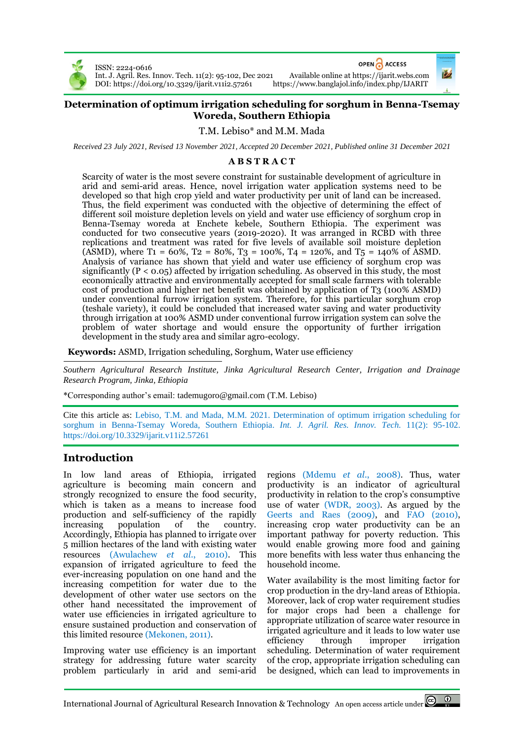

ISSN: 2224-0616 DOI[: https://doi.org/10.3329/ijarit.v11i2.57261](https://doi.org/10.3329/ijarit.v11i2.57261) OPEN ACCESS

Int. J. Agril. Res. Innov. Tech. 11(2): 95-102, Dec 2021 Available online a[t https://ijarit.webs.com](http://ijarit.webs.com/)

## **Determination of optimum irrigation scheduling for sorghum in Benna-Tsemay Woreda, Southern Ethiopia**

T.M. Lebiso\* and M.M. Mada

*Received 23 July 2021, Revised 13 November 2021, Accepted 20 December 2021, Published online 31 December 2021*

# **A B S T R A C T**

Scarcity of water is the most severe constraint for sustainable development of agriculture in arid and semi-arid areas. Hence, novel irrigation water application systems need to be developed so that high crop yield and water productivity per unit of land can be increased. Thus, the field experiment was conducted with the objective of determining the effect of different soil moisture depletion levels on yield and water use efficiency of sorghum crop in Benna-Tsemay woreda at Enchete kebele, Southern Ethiopia. The experiment was conducted for two consecutive years (2019-2020). It was arranged in RCBD with three replications and treatment was rated for five levels of available soil moisture depletion (ASMD), where T<sub>1</sub> = 60%, T<sub>2</sub> = 80%, T<sub>3</sub> = 100%, T<sub>4</sub> = 120%, and T<sub>5</sub> = 140% of ASMD. Analysis of variance has shown that yield and water use efficiency of sorghum crop was significantly ( $P < 0.05$ ) affected by irrigation scheduling. As observed in this study, the most economically attractive and environmentally accepted for small scale farmers with tolerable cost of production and higher net benefit was obtained by application of T3 (100% ASMD) under conventional furrow irrigation system. Therefore, for this particular sorghum crop (teshale variety), it could be concluded that increased water saving and water productivity through irrigation at 100% ASMD under conventional furrow irrigation system can solve the problem of water shortage and would ensure the opportunity of further irrigation development in the study area and similar agro-ecology.

**Keywords:** ASMD, Irrigation scheduling, Sorghum, Water use efficiency

*Southern Agricultural Research Institute, Jinka Agricultural Research Center, Irrigation and Drainage Research Program, Jinka, Ethiopia*

\*Corresponding author's email[: tademugoro@gmail.com](mailto:tademugoro@gmail.com) (T.M. Lebiso)

Cite this article as: Lebiso, T.M. and Mada, M.M. 2021. Determination of optimum irrigation scheduling for sorghum in Benna-Tsemay Woreda, Southern Ethiopia. *Int. J. Agril. Res. Innov. Tech.* 11(2): 95-102. <https://doi.org/10.3329/ijarit.v11i2.57261>

# **Introduction**

In low land areas of Ethiopia, irrigated agriculture is becoming main concern and strongly recognized to ensure the food security, which is taken as a means to increase food production and self-sufficiency of the rapidly increasing population of the country. Accordingly, Ethiopia has planned to irrigate over 5 million hectares of the land with existing water resources (Awulachew *et al.*, 2010). This expansion of irrigated agriculture to feed the ever-increasing population on one hand and the increasing competition for water due to the development of other water use sectors on the other hand necessitated the improvement of water use efficiencies in irrigated agriculture to ensure sustained production and conservation of this limited resource (Mekonen, 2011).

Improving water use efficiency is an important strategy for addressing future water scarcity problem particularly in arid and semi-arid regions (Mdemu *et al*., 2008). Thus, water productivity is an indicator of agricultural productivity in relation to the crop's consumptive use of water (WDR, 2003). As argued by the Geerts and Raes (2009), and FAO (2010), increasing crop water productivity can be an important pathway for poverty reduction. This would enable growing more food and gaining more benefits with less water thus enhancing the household income.

Water availability is the most limiting factor for crop production in the dry-land areas of Ethiopia. Moreover, lack of crop water requirement studies for major crops had been a challenge for appropriate utilization of scarce water resource in irrigated agriculture and it leads to low water use efficiency through improper irrigation scheduling. Determination of water requirement of the crop, appropriate irrigation scheduling can be designed, which can lead to improvements in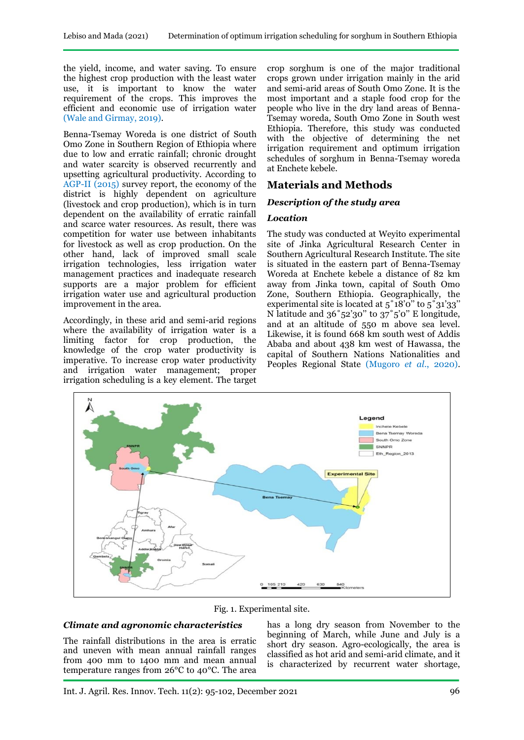the yield, income, and water saving. To ensure the highest crop production with the least water use, it is important to know the water requirement of the crops. This improves the efficient and economic use of irrigation water (Wale and Girmay, 2019).

Benna-Tsemay Woreda is one district of South Omo Zone in Southern Region of Ethiopia where due to low and erratic rainfall; chronic drought and water scarcity is observed recurrently and upsetting agricultural productivity. According to AGP-II (2015) survey report, the economy of the district is highly dependent on agriculture (livestock and crop production), which is in turn dependent on the availability of erratic rainfall and scarce water resources. As result, there was competition for water use between inhabitants for livestock as well as crop production. On the other hand, lack of improved small scale irrigation technologies, less irrigation water management practices and inadequate research supports are a major problem for efficient irrigation water use and agricultural production improvement in the area.

Accordingly, in these arid and semi-arid regions where the availability of irrigation water is a limiting factor for crop production, the knowledge of the crop water productivity is imperative. To increase crop water productivity and irrigation water management; proper irrigation scheduling is a key element. The target crop sorghum is one of the major traditional crops grown under irrigation mainly in the arid and semi-arid areas of South Omo Zone. It is the most important and a staple food crop for the people who live in the dry land areas of Benna-Tsemay woreda, South Omo Zone in South west Ethiopia. Therefore, this study was conducted with the objective of determining the net irrigation requirement and optimum irrigation schedules of sorghum in Benna-Tsemay woreda at Enchete kebele.

# **Materials and Methods**

# *Description of the study area*

## *Location*

The study was conducted at Weyito experimental site of Jinka Agricultural Research Center in Southern Agricultural Research Institute. The site is situated in the eastern part of Benna-Tsemay Woreda at Enchete kebele a distance of 82 km away from Jinka town, capital of South Omo Zone, Southern Ethiopia. Geographically, the experimental site is located at  $5^{\circ}18'0''$  to  $5^{\circ}31'33''$ N latitude and  $36°52'30"$  to  $37°5'0"$  E longitude, and at an altitude of 550 m above sea level. Likewise, it is found 668 km south west of Addis Ababa and about 438 km west of Hawassa, the capital of Southern Nations Nationalities and Peoples Regional State (Mugoro *et al*., 2020).



Fig. 1. Experimental site.

## *Climate and agronomic characteristics*

The rainfall distributions in the area is erratic and uneven with mean annual rainfall ranges from 400 mm to 1400 mm and mean annual temperature ranges from 26°C to 40°C. The area

has a long dry season from November to the beginning of March, while June and July is a short dry season. Agro-ecologically, the area is classified as hot arid and semi-arid climate, and it is characterized by recurrent water shortage,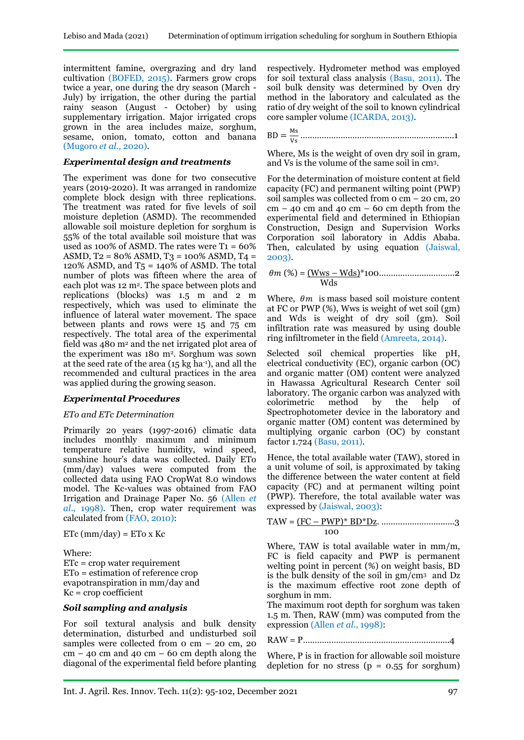intermittent famine, overgrazing and dry land cultivation (BOFED, 2015). Farmers grow crops twice a year, one during the dry season (March - July) by irrigation, the other during the partial rainy season (August - October) by using supplementary irrigation. Major irrigated crops grown in the area includes maize, sorghum, sesame, onion, tomato, cotton and banana (Mugoro *et al.,* 2020).

#### *Experimental design and treatments*

The experiment was done for two consecutive years (2019-2020). It was arranged in randomize complete block design with three replications. The treatment was rated for five levels of soil moisture depletion (ASMD). The recommended allowable soil moisture depletion for sorghum is 55% of the total available soil moisture that was used as 100% of ASMD. The rates were  $T_1 = 60\%$ ASMD, T2 = 80% ASMD, T3 = 100% ASMD, T4 = 120% ASMD, and  $T_5 = 140\%$  of ASMD. The total number of plots was fifteen where the area of each plot was 12 m<sup>2</sup>. The space between plots and replications (blocks) was 1.5 m and 2 m respectively, which was used to eliminate the influence of lateral water movement. The space between plants and rows were 15 and 75 cm respectively. The total area of the experimental field was 480 m<sup>2</sup> and the net irrigated plot area of the experiment was 180 m2. Sorghum was sown at the seed rate of the area  $(15 \text{ kg} \text{ ha}^{-1})$ , and all the recommended and cultural practices in the area was applied during the growing season.

## *Experimental Procedures*

#### *ETo and ETc Determination*

Primarily 20 years (1997-2016) climatic data includes monthly maximum and minimum temperature relative humidity, wind speed, sunshine hour's data was collected. Daily ETo (mm/day) values were computed from the collected data using FAO CropWat 8.0 windows model. The Kc-values was obtained from FAO Irrigation and Drainage Paper No. 56 (Allen *et al*., 1998). Then, crop water requirement was calculated from (FAO, 2010):

 $ETc$  (mm/day) =  $ETo$  x Kc

Where:  $ETc = crop$  water requirement ETo = estimation of reference crop evapotranspiration in mm/day and Kc = crop coefficient

#### *Soil sampling and analysis*

For soil textural analysis and bulk density determination, disturbed and undisturbed soil samples were collected from  $o$  cm  $-$  20 cm, 20  $cm - 40$  cm and  $40$  cm  $- 60$  cm depth along the diagonal of the experimental field before planting

respectively. Hydrometer method was employed for soil textural class analysis (Basu, 2011). The soil bulk density was determined by Oven dry method in the laboratory and calculated as the ratio of dry weight of the soil to known cylindrical core sampler volume (ICARDA, 2013).

BD = Ms Vs …………………………………………………........1

Where, Ms is the weight of oven dry soil in gram, and Vs is the volume of the same soil in cm3.

For the determination of moisture content at field capacity (FC) and permanent wilting point (PWP) soil samples was collected from  $o$  cm  $-$  20 cm, 20  $cm - 40$  cm and  $40$  cm – 60 cm depth from the experimental field and determined in Ethiopian Construction, Design and Supervision Works Corporation soil laboratory in Addis Ababa. Then, calculated by using equation (Jaiswal, 2003).

$$
\theta m\ (\%) = \frac{(\text{Wws} - \text{Wds})^*}{\text{Wds}} 100 \dots \dots \dots \dots \dots \dots \dots \dots \dots 2
$$

Where,  $\theta m$  is mass based soil moisture content at FC or PWP (%), Wws is weight of wet soil (gm) and Wds is weight of dry soil (gm). Soil infiltration rate was measured by using double ring infiltrometer in the field (Amreeta, 2014).

Selected soil chemical properties like pH, electrical conductivity (EC), organic carbon (OC) and organic matter (OM) content were analyzed in Hawassa Agricultural Research Center soil laboratory. The organic carbon was analyzed with colorimetric method by the help of Spectrophotometer device in the laboratory and organic matter (OM) content was determined by multiplying organic carbon (OC) by constant factor 1.724 (Basu, 2011).

Hence, the total available water (TAW), stored in a unit volume of soil, is approximated by taking the difference between the water content at field capacity (FC) and at permanent wilting point (PWP). Therefore, the total available water was expressed by (Jaiswal, 2003):

TAW = (FC – PWP)\* BD\*Dz. …………………….......3 100

Where, TAW is total available water in mm/m, FC is field capacity and PWP is permanent welting point in percent (%) on weight basis, BD is the bulk density of the soil in  $gm/cm^3$  and Dz is the maximum effective root zone depth of sorghum in mm.

The maximum root depth for sorghum was taken 1.5 m. Then, RAW (mm) was computed from the expression (Allen *et al*., 1998):

RAW = P……………………………………………...........4

Where, P is in fraction for allowable soil moisture depletion for no stress ( $p = 0.55$  for sorghum)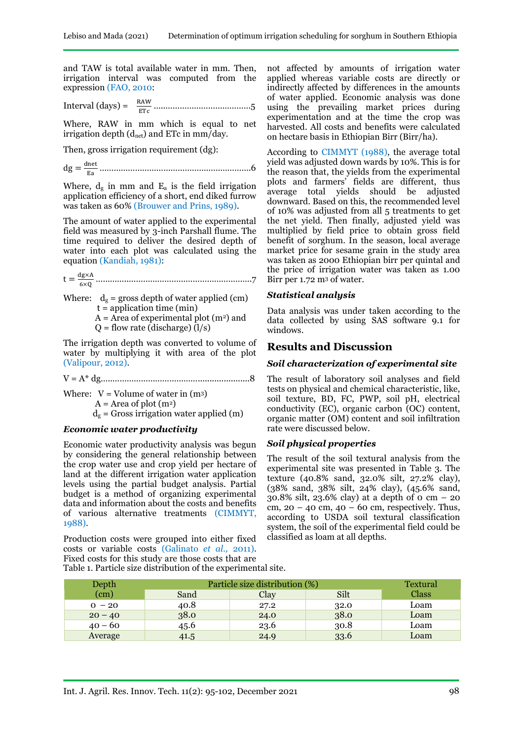and TAW is total available water in mm. Then, irrigation interval was computed from the expression (FAO, 2010:

Interval (days) = RAW ETc …..………………………………5

Where, RAW in mm which is equal to net irrigation depth  $(d_{net})$  and ETc in mm/day.

Then, gross irrigation requirement (dg):

dnet

dg = Ea ……………………………………………………….6

Where,  $d_g$  in mm and  $E_a$  is the field irrigation application efficiency of a short, end diked furrow was taken as 60% (Brouwer and Prins, 1989).

The amount of water applied to the experimental field was measured by 3-inch Parshall flume. The time required to deliver the desired depth of water into each plot was calculated using the equation (Kandiah, 1981):

 $t = \frac{dg \times A}{dx}$ 6×Q …………..…………………………………………….7

Where:  $d_g$  = gross depth of water applied (cm)  $t =$  application time (min)

 $A = Area$  of experimental plot  $(m<sup>2</sup>)$  and

 $Q =$  flow rate (discharge)  $(l/s)$ 

The irrigation depth was converted to volume of water by multiplying it with area of the plot (Valipour, 2012).

V = A\* dg…..………………………………......................8

Where:  $V =$  Volume of water in  $(m<sup>3</sup>)$ 

 $A = Area of plot (m<sup>2</sup>)$ 

 $d_g$  = Gross irrigation water applied (m)

#### *Economic water productivity*

Economic water productivity analysis was begun by considering the general relationship between the crop water use and crop yield per hectare of land at the different irrigation water application levels using the partial budget analysis. Partial budget is a method of organizing experimental data and information about the costs and benefits of various alternative treatments (CIMMYT, 1988).

Production costs were grouped into either fixed costs or variable costs (Galinato *et al.,* 2011). Fixed costs for this study are those costs that are Table 1. Particle size distribution of the experimental site.

not affected by amounts of irrigation water applied whereas variable costs are directly or indirectly affected by differences in the amounts of water applied. Economic analysis was done using the prevailing market prices during experimentation and at the time the crop was harvested. All costs and benefits were calculated on hectare basis in Ethiopian Birr (Birr/ha).

According to CIMMYT (1988), the average total yield was adjusted down wards by 10%. This is for the reason that, the yields from the experimental plots and farmers' fields are different, thus average total yields should be adjusted downward. Based on this, the recommended level of 10% was adjusted from all 5 treatments to get the net yield. Then finally, adjusted yield was multiplied by field price to obtain gross field benefit of sorghum. In the season, local average market price for sesame grain in the study area was taken as 2000 Ethiopian birr per quintal and the price of irrigation water was taken as 1.00 Birr per 1.72 m<sup>3</sup> of water.

#### *Statistical analysis*

Data analysis was under taken according to the data collected by using SAS software 9.1 for windows.

# **Results and Discussion**

#### *Soil characterization of experimental site*

The result of laboratory soil analyses and field tests on physical and chemical characteristic, like, soil texture, BD, FC, PWP, soil pH, electrical conductivity (EC), organic carbon (OC) content, organic matter (OM) content and soil infiltration rate were discussed below.

#### *Soil physical properties*

The result of the soil textural analysis from the experimental site was presented in Table 3. The texture (40.8% sand, 32.0% silt, 27.2% clay), (38% sand, 38% silt, 24% clay), (45.6% sand, 30.8% silt, 23.6% clay) at a depth of 0 cm – 20 cm,  $20 - 40$  cm,  $40 - 60$  cm, respectively. Thus, according to USDA soil textural classification system, the soil of the experimental field could be classified as loam at all depths.

| Depth     | Particle size distribution (%) | Textural |      |       |
|-----------|--------------------------------|----------|------|-------|
| (cm)      | Sand                           | Clay     | Silt | Class |
| $0 - 20$  | 40.8                           | 27.2     | 32.0 | Loam  |
| $20 - 40$ | 38.0                           | 24.0     | 38.0 | Loam  |
| $40 - 60$ | 45.6                           | 23.6     | 30.8 | Loam  |
| Average   | 41.5                           | 24.9     | 33.6 | Loam  |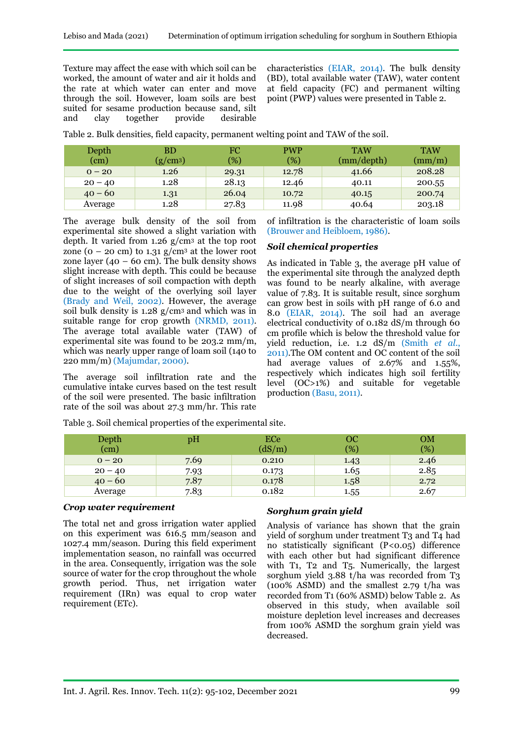Texture may affect the ease with which soil can be worked, the amount of water and air it holds and the rate at which water can enter and move through the soil. However, loam soils are best suited for sesame production because sand, silt and clay together provide desirable

characteristics (EIAR, 2014). The bulk density (BD), total available water (TAW), water content at field capacity (FC) and permanent wilting point (PWP) values were presented in Table 2.

Table 2. Bulk densities, field capacity, permanent welting point and TAW of the soil.

| Depth     | BD                   | FC     | <b>PWP</b> | <b>TAW</b> | <b>TAW</b>      |
|-----------|----------------------|--------|------------|------------|-----------------|
| (cm)      | (g/cm <sup>3</sup> ) | $(\%)$ | (%)        | (mm/depth) | $\text{(mm/m)}$ |
| $0 - 20$  | 1.26                 | 29.31  | 12.78      | 41.66      | 208.28          |
| $20 - 40$ | 1.28                 | 28.13  | 12.46      | 40.11      | 200.55          |
| $40 - 60$ | 1.31                 | 26.04  | 10.72      | 40.15      | 200.74          |
| Average   | 1.28                 | 27.83  | 11.98      | 40.64      | 203.18          |

The average bulk density of the soil from experimental site showed a slight variation with depth. It varied from 1.26 g/cm<sup>3</sup> at the top root zone  $(0 - 20$  cm) to 1.31 g/cm<sup>3</sup> at the lower root zone layer (40 – 60 cm). The bulk density shows slight increase with depth. This could be because of slight increases of soil compaction with depth due to the weight of the overlying soil layer (Brady and Weil, 2002). However, the average soil bulk density is 1.28 g/cm3 and which was in suitable range for crop growth (NRMD, 2011). The average total available water (TAW) of experimental site was found to be 203.2 mm/m, which was nearly upper range of loam soil (140 to 220 mm/m) (Majumdar, 2000).

The average soil infiltration rate and the cumulative intake curves based on the test result of the soil were presented. The basic infiltration rate of the soil was about 27.3 mm/hr. This rate of infiltration is the characteristic of loam soils (Brouwer and Heibloem, 1986).

## *Soil chemical properties*

As indicated in Table 3, the average pH value of the experimental site through the analyzed depth was found to be nearly alkaline, with average value of 7.83. It is suitable result, since sorghum can grow best in soils with pH range of 6.0 and 8.0 (EIAR, 2014). The soil had an average electrical conductivity of 0.182 dS/m through 60 cm profile which is below the threshold value for yield reduction, i.e. 1.2 dS/m (Smith *et al.*, 2011).The OM content and OC content of the soil had average values of 2.67% and 1.55%, respectively which indicates high soil fertility level (OC>1%) and suitable for vegetable production (Basu, 2011).

| Depth     | pН   | ECe                         | OC   | <b>OM</b> |
|-----------|------|-----------------------------|------|-----------|
| (cm)      |      | $\left(\frac{dS}{m}\right)$ | (%)  | $(\%)$    |
| $0 - 20$  | 7.69 | 0.210                       | 1.43 | 2.46      |
| $20 - 40$ | 7.93 | 0.173                       | 1.65 | 2.85      |
| $40 - 60$ | 7.87 | 0.178                       | 1.58 | 2.72      |
| Average   | 7.83 | 0.182                       | 1.55 | 2.67      |

Table 3. Soil chemical properties of the experimental site.

#### *Crop water requirement*

The total net and gross irrigation water applied on this experiment was 616.5 mm/season and 1027.4 mm/season. During this field experiment implementation season, no rainfall was occurred in the area. Consequently, irrigation was the sole source of water for the crop throughout the whole growth period. Thus, net irrigation water requirement (IRn) was equal to crop water requirement (ETc).

## *Sorghum grain yield*

Analysis of variance has shown that the grain yield of sorghum under treatment T3 and T4 had no statistically significant (P<0.05) difference with each other but had significant difference with T1, T2 and T5. Numerically, the largest sorghum yield 3.88 t/ha was recorded from T3 (100% ASMD) and the smallest 2.79 t/ha was recorded from T1 (60% ASMD) below Table 2. As observed in this study, when available soil moisture depletion level increases and decreases from 100% ASMD the sorghum grain yield was decreased.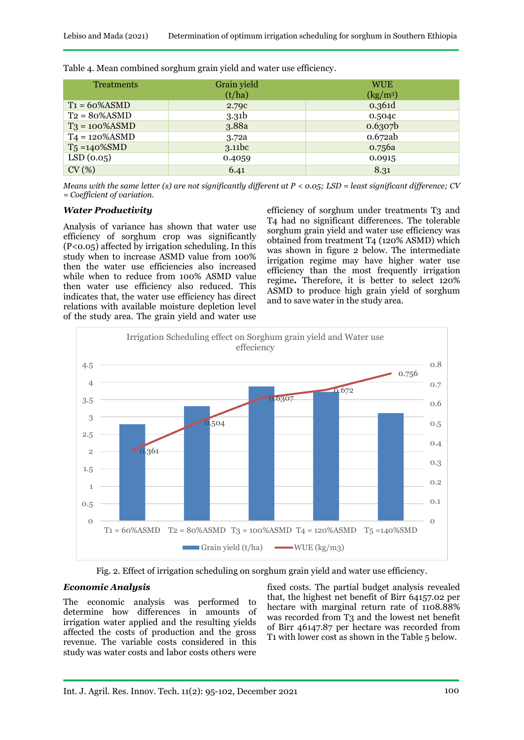| <b>Treatments</b>  | Grain yield<br>(t/ha) | <b>WUE</b><br>(kg/m <sup>3</sup> ) |
|--------------------|-----------------------|------------------------------------|
| $T_1 = 60\%$ ASMD  | 2.79c                 | 0.361d                             |
| $T2 = 80\%$ ASMD   | 3.31 <sub>b</sub>     | 0.504c                             |
| $T_3 = 100\%$ ASMD | 3.88a                 | 0.6307 <sub>b</sub>                |
| $T4 = 120\%$ ASMD  | 3.72a                 | 0.672ab                            |
| $T_5 = 140\%$ SMD  | 3.11bc                | o.756a                             |
| LSD(0.05)          | 0.4059                | 0.0915                             |
| CV(%)              | 6.41                  | 8.31                               |

Table 4. Mean combined sorghum grain yield and water use efficiency.

*Means with the same letter (s) are not significantly different at P < 0.05; LSD = least significant difference; CV = Coefficient of variation.*

#### *Water Productivity*

Analysis of variance has shown that water use efficiency of sorghum crop was significantly (P<0.05) affected by irrigation scheduling. In this study when to increase ASMD value from 100% then the water use efficiencies also increased while when to reduce from 100% ASMD value then water use efficiency also reduced. This indicates that, the water use efficiency has direct relations with available moisture depletion level of the study area. The grain yield and water use

efficiency of sorghum under treatments T3 and T4 had no significant differences. The tolerable sorghum grain yield and water use efficiency was obtained from treatment T4 (120% ASMD) which was shown in figure 2 below. The intermediate irrigation regime may have higher water use efficiency than the most frequently irrigation regime**.** Therefore, it is better to select 120% ASMD to produce high grain yield of sorghum and to save water in the study area.



Fig. 2. Effect of irrigation scheduling on sorghum grain yield and water use efficiency.

#### *Economic Analysis*

The economic analysis was performed to determine how differences in amounts of irrigation water applied and the resulting yields affected the costs of production and the gross revenue. The variable costs considered in this study was water costs and labor costs others were

fixed costs. The partial budget analysis revealed that, the highest net benefit of Birr 64157.02 per hectare with marginal return rate of 1108.88% was recorded from T3 and the lowest net benefit of Birr 46147.87 per hectare was recorded from T1 with lower cost as shown in the Table 5 below.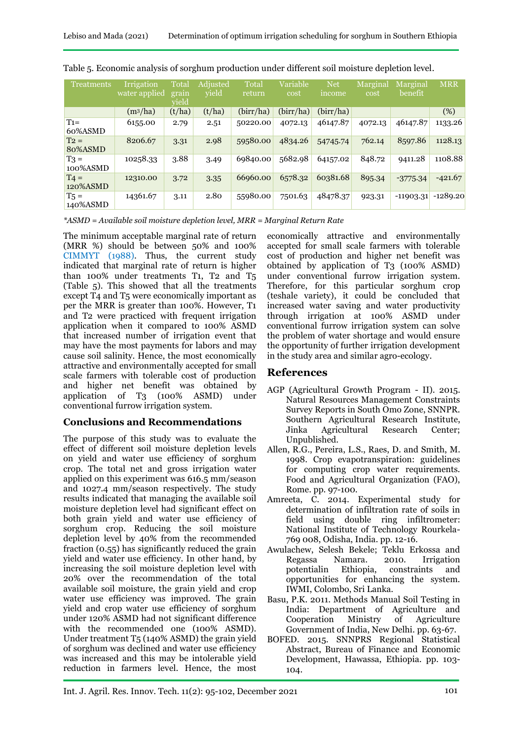| <b>Treatments</b>   | Irrigation<br>water applied | Total<br>grain<br>vield | Adjusted<br>yield | Total<br>return | Variable<br>cost | <b>Net</b><br>income | Marginal<br>cost | Marginal<br>benefit | <b>MRR</b> |
|---------------------|-----------------------------|-------------------------|-------------------|-----------------|------------------|----------------------|------------------|---------------------|------------|
|                     | $(m^3/ha)$                  | (t/ha)                  | (t/ha)            | (birr/ha)       | (birr/ha)        | (birr/ha)            |                  |                     | $(\%)$     |
| $T_1 =$<br>60%ASMD  | 6155.00                     | 2.79                    | 2.51              | 50220.00        | 4072.13          | 46147.87             | 4072.13          | 46147.87            | 1133.26    |
| $T2 =$<br>80%ASMD   | 8206.67                     | 3.31                    | 2.98              | 59580.00        | 4834.26          | 54745.74             | 762.14           | 8597.86             | 1128.13    |
| $T_3 =$<br>100%ASMD | 10258.33                    | 3.88                    | 3.49              | 69840.00        | 5682.98          | 64157.02             | 848.72           | 9411.28             | 1108.88    |
| $T_4 =$<br>120%ASMD | 12310.00                    | 3.72                    | 3.35              | 66960.00        | 6578.32          | 60381.68             | 895.34           | $-3775.34$          | $-421.67$  |
| $T_5 =$<br>140%ASMD | 14361.67                    | 3.11                    | 2.80              | 55980.00        | 7501.63          | 48478.37             | 923.31           | $-11903.31$         | $-1289.20$ |

|  |  |  |  |  |  |  | Table 5. Economic analysis of sorghum production under different soil moisture depletion level. |  |
|--|--|--|--|--|--|--|-------------------------------------------------------------------------------------------------|--|
|--|--|--|--|--|--|--|-------------------------------------------------------------------------------------------------|--|

*\*ASMD = Available soil moisture depletion level, MRR = Marginal Return Rate*

The minimum acceptable marginal rate of return (MRR %) should be between 50% and 100% CIMMYT (1988). Thus, the current study indicated that marginal rate of return is higher than 100% under treatments T1, T2 and T5 (Table 5). This showed that all the treatments except T4 and T5 were economically important as per the MRR is greater than 100%. However, T1 and T2 were practiced with frequent irrigation application when it compared to 100% ASMD that increased number of irrigation event that may have the most payments for labors and may cause soil salinity. Hence, the most economically attractive and environmentally accepted for small scale farmers with tolerable cost of production and higher net benefit was obtained by application of T3 (100% ASMD) under conventional furrow irrigation system.

# **Conclusions and Recommendations**

The purpose of this study was to evaluate the effect of different soil moisture depletion levels on yield and water use efficiency of sorghum crop. The total net and gross irrigation water applied on this experiment was 616.5 mm/season and 1027.4 mm/season respectively. The study results indicated that managing the available soil moisture depletion level had significant effect on both grain yield and water use efficiency of sorghum crop. Reducing the soil moisture depletion level by 40% from the recommended fraction (0.55) has significantly reduced the grain yield and water use efficiency. In other hand, by increasing the soil moisture depletion level with 20% over the recommendation of the total available soil moisture, the grain yield and crop water use efficiency was improved. The grain yield and crop water use efficiency of sorghum under 120% ASMD had not significant difference with the recommended one (100% ASMD). Under treatment T5 (140% ASMD) the grain yield of sorghum was declined and water use efficiency was increased and this may be intolerable yield reduction in farmers level. Hence, the most

economically attractive and environmentally accepted for small scale farmers with tolerable cost of production and higher net benefit was obtained by application of T3 (100% ASMD) under conventional furrow irrigation system. Therefore, for this particular sorghum crop (teshale variety), it could be concluded that increased water saving and water productivity through irrigation at 100% ASMD under conventional furrow irrigation system can solve the problem of water shortage and would ensure the opportunity of further irrigation development in the study area and similar agro-ecology.

# **References**

- AGP (Agricultural Growth Program II). 2015. Natural Resources Management Constraints Survey Reports in South Omo Zone, SNNPR. Southern Agricultural Research Institute,<br>Jinka Agricultural Research Center: Jinka Agricultural Research Unpublished.
- Allen, R.G., Pereira, L.S., Raes, D. and Smith, M. 1998. Crop evapotranspiration: guidelines for computing crop water requirements. Food and Agricultural Organization (FAO), Rome. pp. 97-100.
- Amreeta, C. 2014. Experimental study for determination of infiltration rate of soils in field using double ring infiltrometer: National Institute of Technology Rourkela-769 008, Odisha, India. pp. 12-16.
- Awulachew, Selesh Bekele; Teklu Erkossa and Regassa Namara. 2010. Irrigation potentialin Ethiopia, constraints and opportunities for enhancing the system. IWMI, Colombo, Sri Lanka.
- Basu, P.K. 2011. Methods Manual Soil Testing in India: Department of Agriculture and Cooperation Ministry of Agriculture Government of India, New Delhi. pp. 63-67.
- BOFED. 2015. SNNPRS Regional Statistical Abstract, Bureau of Finance and Economic Development, Hawassa, Ethiopia. pp. 103- 104.